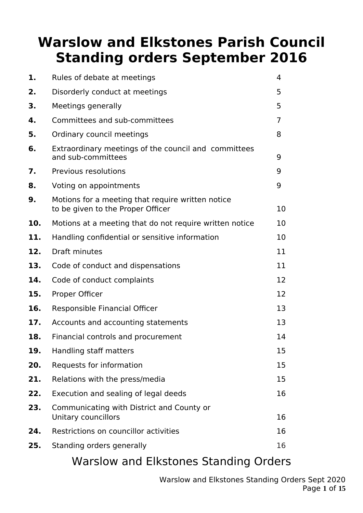# **Warslow and Elkstones Parish Council Standing orders September 2016**

| 1.  | Rules of debate at meetings                                                            | 4  |
|-----|----------------------------------------------------------------------------------------|----|
| 2.  | Disorderly conduct at meetings                                                         | 5  |
| 3.  | Meetings generally                                                                     | 5  |
| 4.  | Committees and sub-committees                                                          | 7  |
| 5.  | Ordinary council meetings                                                              | 8  |
| 6.  | Extraordinary meetings of the council and committees<br>and sub-committees             | 9  |
| 7.  | Previous resolutions                                                                   | 9  |
| 8.  | Voting on appointments                                                                 | 9  |
| 9.  | Motions for a meeting that require written notice<br>to be given to the Proper Officer | 10 |
| 10. | Motions at a meeting that do not require written notice                                | 10 |
| 11. | Handling confidential or sensitive information                                         | 10 |
| 12. | Draft minutes                                                                          | 11 |
| 13. | Code of conduct and dispensations                                                      | 11 |
| 14. | Code of conduct complaints                                                             | 12 |
| 15. | Proper Officer                                                                         | 12 |
| 16. | Responsible Financial Officer                                                          | 13 |
| 17. | Accounts and accounting statements                                                     | 13 |
| 18. | Financial controls and procurement                                                     | 14 |
| 19. | Handling staff matters                                                                 | 15 |
| 20. | Requests for information                                                               | 15 |
| 21. | Relations with the press/media                                                         | 15 |
| 22. | Execution and sealing of legal deeds                                                   | 16 |
| 23. | Communicating with District and County or<br>Unitary councillors                       | 16 |
| 24. | Restrictions on councillor activities                                                  | 16 |
| 25. | Standing orders generally                                                              | 16 |
|     |                                                                                        |    |

### Warslow and Elkstones Standing Orders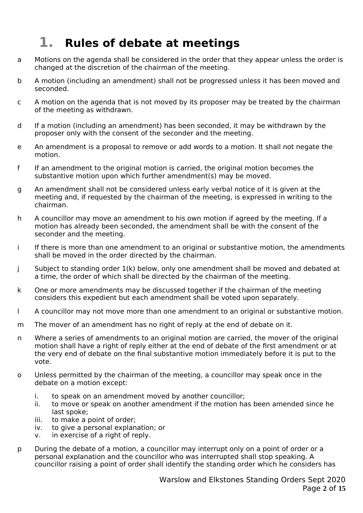## **1. Rules of debate at meetings**

- a Motions on the agenda shall be considered in the order that they appear unless the order is changed at the discretion of the chairman of the meeting.
- b A motion (including an amendment) shall not be progressed unless it has been moved and seconded.
- c A motion on the agenda that is not moved by its proposer may be treated by the chairman of the meeting as withdrawn.
- d If a motion (including an amendment) has been seconded, it may be withdrawn by the proposer only with the consent of the seconder and the meeting.
- e An amendment is a proposal to remove or add words to a motion. It shall not negate the motion.
- f If an amendment to the original motion is carried, the original motion becomes the substantive motion upon which further amendment(s) may be moved.
- g An amendment shall not be considered unless early verbal notice of it is given at the meeting and, if requested by the chairman of the meeting, is expressed in writing to the chairman.
- h A councillor may move an amendment to his own motion if agreed by the meeting. If a motion has already been seconded, the amendment shall be with the consent of the seconder and the meeting.
- i If there is more than one amendment to an original or substantive motion, the amendments shall be moved in the order directed by the chairman.
- j Subject to standing order 1(k) below, only one amendment shall be moved and debated at a time, the order of which shall be directed by the chairman of the meeting.
- k One or more amendments may be discussed together if the chairman of the meeting considers this expedient but each amendment shall be voted upon separately.
- l A councillor may not move more than one amendment to an original or substantive motion.
- m The mover of an amendment has no right of reply at the end of debate on it.
- n Where a series of amendments to an original motion are carried, the mover of the original motion shall have a right of reply either at the end of debate of the first amendment or at the very end of debate on the final substantive motion immediately before it is put to the vote.
- o Unless permitted by the chairman of the meeting, a councillor may speak once in the debate on a motion except:
	- i. to speak on an amendment moved by another councillor;
	- ii. to move or speak on another amendment if the motion has been amended since he last spoke;
	- iii. to make a point of order;
	- iv. to give a personal explanation; or
	- v. in exercise of a right of reply.
- p During the debate of a motion, a councillor may interrupt only on a point of order or a personal explanation and the councillor who was interrupted shall stop speaking. A councillor raising a point of order shall identify the standing order which he considers has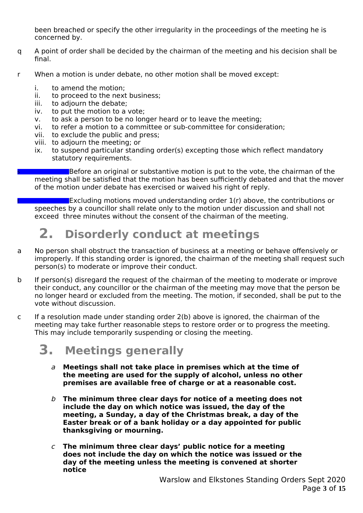been breached or specify the other irregularity in the proceedings of the meeting he is concerned by.

- q A point of order shall be decided by the chairman of the meeting and his decision shall be final.
- r When a motion is under debate, no other motion shall be moved except:
	- i. to amend the motion;
	- ii. to proceed to the next business;
	- iii. to adjourn the debate;
	- iv. to put the motion to a vote;
	- v. to ask a person to be no longer heard or to leave the meeting;
	- vi. to refer a motion to a committee or sub-committee for consideration;
	- vii. to exclude the public and press;
	- viii. to adjourn the meeting; or
	- ix. to suspend particular standing order(s) excepting those which reflect mandatory statutory requirements.

**SECO** Before an original or substantive motion is put to the vote, the chairman of the meeting shall be satisfied that the motion has been sufficiently debated and that the mover of the motion under debate has exercised or waived his right of reply.

**Excluding motions moved understanding order**  $1(r)$  **above, the contributions or** speeches by a councillor shall relate only to the motion under discussion and shall not exceed three minutes without the consent of the chairman of the meeting.

## **2. Disorderly conduct at meetings**

- a No person shall obstruct the transaction of business at a meeting or behave offensively or improperly. If this standing order is ignored, the chairman of the meeting shall request such person(s) to moderate or improve their conduct.
- b If person(s) disregard the request of the chairman of the meeting to moderate or improve their conduct, any councillor or the chairman of the meeting may move that the person be no longer heard or excluded from the meeting. The motion, if seconded, shall be put to the vote without discussion.
- c If a resolution made under standing order 2(b) above is ignored, the chairman of the meeting may take further reasonable steps to restore order or to progress the meeting. This may include temporarily suspending or closing the meeting.

## **3. Meetings generally**

- <sup>a</sup> **Meetings shall not take place in premises which at the time of the meeting are used for the supply of alcohol, unless no other premises are available free of charge or at a reasonable cost.**
- b **The minimum three clear days for notice of a meeting does not include the day on which notice was issued, the day of the meeting, a Sunday, a day of the Christmas break, a day of the Easter break or of a bank holiday or a day appointed for public thanksgiving or mourning.**
- <sup>c</sup> **The minimum three clear days' public notice for a meeting does not include the day on which the notice was issued or the day of the meeting unless the meeting is convened at shorter notice**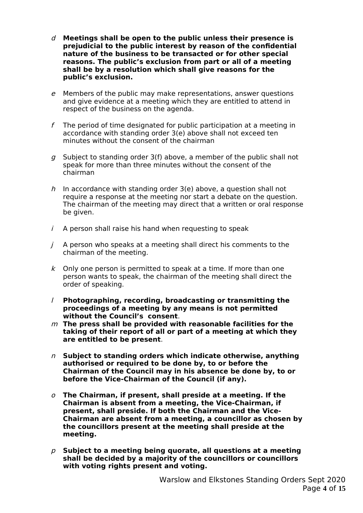- d **Meetings shall be open to the public unless their presence is prejudicial to the public interest by reason of the confidential nature of the business to be transacted or for other special reasons. The public's exclusion from part or all of a meeting shall be by a resolution which shall give reasons for the public's exclusion.**
- <sup>e</sup> Members of the public may make representations, answer questions and give evidence at a meeting which they are entitled to attend in respect of the business on the agenda.
- f The period of time designated for public participation at a meeting in accordance with standing order 3(e) above shall not exceed ten minutes without the consent of the chairman
- g Subject to standing order  $3(f)$  above, a member of the public shall not speak for more than three minutes without the consent of the chairman
- h In accordance with standing order  $3(e)$  above, a question shall not require a response at the meeting nor start a debate on the question. The chairman of the meeting may direct that a written or oral response be given.
- $i$  A person shall raise his hand when requesting to speak
- $j$  A person who speaks at a meeting shall direct his comments to the chairman of the meeting.
- $k$  Only one person is permitted to speak at a time. If more than one person wants to speak, the chairman of the meeting shall direct the order of speaking.
- l **Photographing, recording, broadcasting or transmitting the proceedings of a meeting by any means is not permitted without the Council's consent**.
- <sup>m</sup> **The press shall be provided with reasonable facilities for the taking of their report of all or part of a meeting at which they are entitled to be present**.
- <sup>n</sup> **Subject to standing orders which indicate otherwise, anything authorised or required to be done by, to or before the Chairman of the Council may in his absence be done by, to or before the Vice-Chairman of the Council (if any).**
- <sup>o</sup> **The Chairman, if present, shall preside at a meeting. If the Chairman is absent from a meeting, the Vice-Chairman, if present, shall preside. If both the Chairman and the Vice-Chairman are absent from a meeting, a councillor as chosen by the councillors present at the meeting shall preside at the meeting.**
- p **Subject to a meeting being quorate, all questions at a meeting shall be decided by a majority of the councillors or councillors with voting rights present and voting.**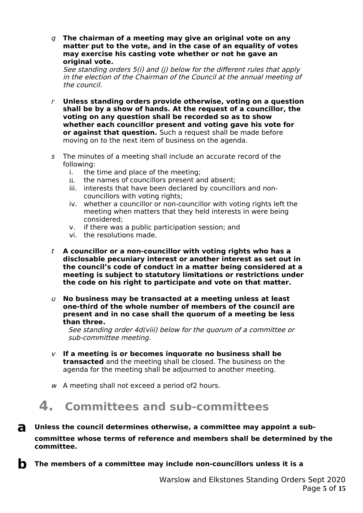q **The chairman of a meeting may give an original vote on any matter put to the vote, and in the case of an equality of votes may exercise his casting vote whether or not he gave an original vote.**

See standing orders 5(i) and (j) below for the different rules that apply in the election of the Chairman of the Council at the annual meeting of the council.

- <sup>r</sup> **Unless standing orders provide otherwise, voting on a question shall be by a show of hands. At the request of a councillor, the voting on any question shall be recorded so as to show whether each councillor present and voting gave his vote for or against that question.** Such a request shall be made before moving on to the next item of business on the agenda.
- $s$  The minutes of a meeting shall include an accurate record of the following:
	- i. the time and place of the meeting;
	- ii. the names of councillors present and absent;
	- iii. interests that have been declared by councillors and noncouncillors with voting rights;
	- iv. whether a councillor or non-councillor with voting rights left the meeting when matters that they held interests in were being considered;
	- v. if there was a public participation session; and
	- vi. the resolutions made.
- t **A councillor or a non-councillor with voting rights who has a disclosable pecuniary interest or another interest as set out in the council's code of conduct in a matter being considered at a meeting is subject to statutory limitations or restrictions under the code on his right to participate and vote on that matter.**
- <sup>u</sup> **No business may be transacted at a meeting unless at least one-third of the whole number of members of the council are present and in no case shall the quorum of a meeting be less than three.**

See standing order 4d(viii) below for the quorum of a committee or sub-committee meeting.

- <sup>v</sup> **If a meeting is or becomes inquorate no business shall be transacted** and the meeting shall be closed. The business on the agenda for the meeting shall be adjourned to another meeting.
- $w$  A meeting shall not exceed a period of 2 hours.

# **4. Committees and sub-committees**

- **a Unless the council determines otherwise, a committee may appoint a subcommittee whose terms of reference and members shall be determined by the committee.**
- **b** The members of a committee may include non-councillors unless it is a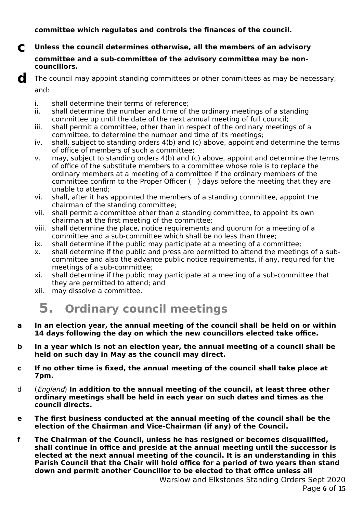#### **committee which regulates and controls the finances of the council.**

#### **c Unless the council determines otherwise, all the members of an advisory committee and a sub-committee of the advisory committee may be noncouncillors.**

- i. shall determine their terms of reference;
- ii. shall determine the number and time of the ordinary meetings of a standing committee up until the date of the next annual meeting of full council;
- iii. shall permit a committee, other than in respect of the ordinary meetings of a committee, to determine the number and time of its meetings;
- iv. shall, subject to standing orders 4(b) and (c) above, appoint and determine the terms of office of members of such a committee;
- v. may, subject to standing orders 4(b) and (c) above, appoint and determine the terms of office of the substitute members to a committee whose role is to replace the ordinary members at a meeting of a committee if the ordinary members of the committee confirm to the Proper Officer ( ) days before the meeting that they are unable to attend;
- vi. shall, after it has appointed the members of a standing committee, appoint the chairman of the standing committee;
- vii. shall permit a committee other than a standing committee, to appoint its own chairman at the first meeting of the committee;
- viii. shall determine the place, notice requirements and quorum for a meeting of a committee and a sub-committee which shall be no less than three;
- ix. shall determine if the public may participate at a meeting of a committee;
- x. shall determine if the public and press are permitted to attend the meetings of a subcommittee and also the advance public notice requirements, if any, required for the meetings of a sub-committee;
- xi. shall determine if the public may participate at a meeting of a sub-committee that they are permitted to attend; and
- xii. may dissolve a committee.

### **5. Ordinary council meetings**

- **a In an election year, the annual meeting of the council shall be held on or within 14 days following the day on which the new councillors elected take office.**
- **b In a year which is not an election year, the annual meeting of a council shall be held on such day in May as the council may direct.**
- **c If no other time is fixed, the annual meeting of the council shall take place at 7pm.**
- d (England) **In addition to the annual meeting of the council, at least three other ordinary meetings shall be held in each year on such dates and times as the council directs.**
- **e The first business conducted at the annual meeting of the council shall be the election of the Chairman and Vice-Chairman (if any) of the Council.**
- **f The Chairman of the Council, unless he has resigned or becomes disqualified, shall continue in office and preside at the annual meeting until the successor is elected at the next annual meeting of the council. It is an understanding in this Parish Council that the Chair will hold office for a period of two years then stand down and permit another Councillor to be elected to that office unless all**

**d** The council may appoint standing committees or other committees as may be necessary, and: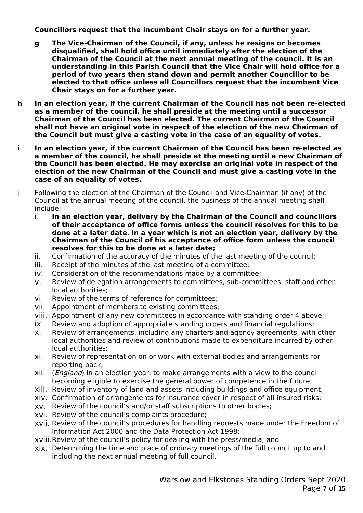**Councillors request that the incumbent Chair stays on for a further year.**

- **g The Vice-Chairman of the Council, if any, unless he resigns or becomes disqualified, shall hold office until immediately after the election of the Chairman of the Council at the next annual meeting of the council. It is an understanding in this Parish Council that the Vice Chair will hold office for a period of two years then stand down and permit another Councillor to be elected to that office unless all Councillors request that the incumbent Vice Chair stays on for a further year.**
- **h In an election year, if the current Chairman of the Council has not been re-elected as a member of the council, he shall preside at the meeting until a successor Chairman of the Council has been elected. The current Chairman of the Council shall not have an original vote in respect of the election of the new Chairman of the Council but must give a casting vote in the case of an equality of votes.**
- **i In an election year, if the current Chairman of the Council has been re-elected as a member of the council, he shall preside at the meeting until a new Chairman of the Council has been elected. He may exercise an original vote in respect of the election of the new Chairman of the Council and must give a casting vote in the case of an equality of votes.**
- j Following the election of the Chairman of the Council and Vice-Chairman (if any) of the Council at the annual meeting of the council, the business of the annual meeting shall include:
	- i. **In an election year, delivery by the Chairman of the Council and councillors of their acceptance of office forms unless the council resolves for this to be done at a later date**. **In a year which is not an election year, delivery by the Chairman of the Council of his acceptance of office form unless the council resolves for this to be done at a later date;**
	- ii. Confirmation of the accuracy of the minutes of the last meeting of the council;
	- iii. Receipt of the minutes of the last meeting of a committee;
	- iv. Consideration of the recommendations made by a committee;
	- v. Review of delegation arrangements to committees, sub-committees, staff and other local authorities;
	- vi. Review of the terms of reference for committees;
	- vii. Appointment of members to existing committees;
	- viii. Appointment of any new committees in accordance with standing order 4 above;
	- ix. Review and adoption of appropriate standing orders and financial regulations;
	- x. Review of arrangements, including any charters and agency agreements, with other local authorities and review of contributions made to expenditure incurred by other local authorities;
	- xi. Review of representation on or work with external bodies and arrangements for reporting back;
	- xii. (*England*) In an election year, to make arrangements with a view to the council becoming eligible to exercise the general power of competence in the future;
	- xiii. Review of inventory of land and assets including buildings and office equipment;
	- xiv. Confirmation of arrangements for insurance cover in respect of all insured risks;
	- xv. Review of the council's and/or staff subscriptions to other bodies;
	- xvi. Review of the council's complaints procedure;
	- xvii. Review of the council's procedures for handling requests made under the Freedom of Information Act 2000 and the Data Protection Act 1998;
	- xviii.Review of the council's policy for dealing with the press/media; and
	- xix. Determining the time and place of ordinary meetings of the full council up to and including the next annual meeting of full council.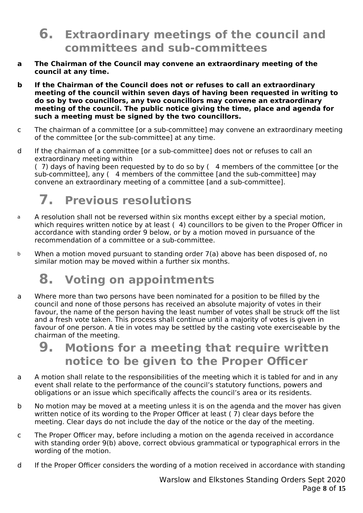### **6. Extraordinary meetings of the council and committees and sub-committees**

- **a The Chairman of the Council may convene an extraordinary meeting of the council at any time.**
- **b If the Chairman of the Council does not or refuses to call an extraordinary meeting of the council within seven days of having been requested in writing to do so by two councillors, any two councillors may convene an extraordinary meeting of the council. The public notice giving the time, place and agenda for such a meeting must be signed by the two councillors.**
- c The chairman of a committee [or a sub-committee] may convene an extraordinary meeting of the committee [or the sub-committee] at any time.
- d If the chairman of a committee [or a sub-committee] does not or refuses to call an extraordinary meeting within

( 7) days of having been requested by to do so by ( 4 members of the committee [or the sub-committee], any (4 members of the committee [and the sub-committee] may convene an extraordinary meeting of a committee [and a sub-committee].

# **7. Previous resolutions**

- a A resolution shall not be reversed within six months except either by a special motion, which requires written notice by at least (4) councillors to be given to the Proper Officer in accordance with standing order 9 below, or by a motion moved in pursuance of the recommendation of a committee or a sub-committee.
- b When a motion moved pursuant to standing order 7(a) above has been disposed of, no similar motion may be moved within a further six months.

# **8. Voting on appointments**

a Where more than two persons have been nominated for a position to be filled by the council and none of those persons has received an absolute majority of votes in their favour, the name of the person having the least number of votes shall be struck off the list and a fresh vote taken. This process shall continue until a majority of votes is given in favour of one person. A tie in votes may be settled by the casting vote exerciseable by the chairman of the meeting.

### **9. Motions for a meeting that require written notice to be given to the Proper Officer**

- a A motion shall relate to the responsibilities of the meeting which it is tabled for and in any event shall relate to the performance of the council's statutory functions, powers and obligations or an issue which specifically affects the council's area or its residents.
- b No motion may be moved at a meeting unless it is on the agenda and the mover has given written notice of its wording to the Proper Officer at least ( 7) clear days before the meeting. Clear days do not include the day of the notice or the day of the meeting.
- c The Proper Officer may, before including a motion on the agenda received in accordance with standing order 9(b) above, correct obvious grammatical or typographical errors in the wording of the motion.
- d If the Proper Officer considers the wording of a motion received in accordance with standing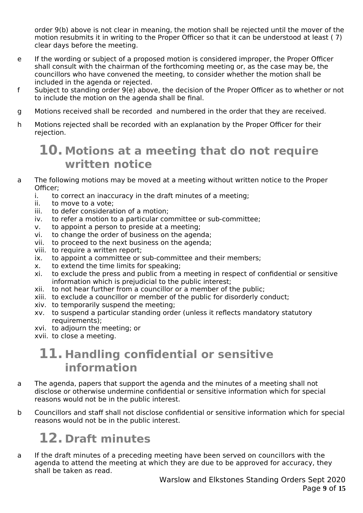order 9(b) above is not clear in meaning, the motion shall be rejected until the mover of the motion resubmits it in writing to the Proper Officer so that it can be understood at least ( 7) clear days before the meeting.

- e If the wording or subject of a proposed motion is considered improper, the Proper Officer shall consult with the chairman of the forthcoming meeting or, as the case may be, the councillors who have convened the meeting, to consider whether the motion shall be included in the agenda or rejected.
- f Subject to standing order 9(e) above, the decision of the Proper Officer as to whether or not to include the motion on the agenda shall be final.
- g Motions received shall be recorded and numbered in the order that they are received.
- h Motions rejected shall be recorded with an explanation by the Proper Officer for their rejection.

### **10. Motions at a meeting that do not require written notice**

- a The following motions may be moved at a meeting without written notice to the Proper Officer;
	- i. to correct an inaccuracy in the draft minutes of a meeting;
	- ii. to move to a vote;
	- iii. to defer consideration of a motion;
	- iv. to refer a motion to a particular committee or sub-committee;
	- v. to appoint a person to preside at a meeting;
	- vi. to change the order of business on the agenda;
	- vii. to proceed to the next business on the agenda;
	- viii. to require a written report;
	- ix. to appoint a committee or sub-committee and their members;
	- x. to extend the time limits for speaking;
	- xi. to exclude the press and public from a meeting in respect of confidential or sensitive information which is prejudicial to the public interest;
	- xii. to not hear further from a councillor or a member of the public;
	- xiii. to exclude a councillor or member of the public for disorderly conduct;
	- xiv. to temporarily suspend the meeting;
	- xv. to suspend a particular standing order (unless it reflects mandatory statutory requirements);
	- xvi. to adjourn the meeting; or
	- xvii. to close a meeting.

### **11. Handling confidential or sensitive information**

- a The agenda, papers that support the agenda and the minutes of a meeting shall not disclose or otherwise undermine confidential or sensitive information which for special reasons would not be in the public interest.
- b Councillors and staff shall not disclose confidential or sensitive information which for special reasons would not be in the public interest.

# **12. Draft minutes**

a If the draft minutes of a preceding meeting have been served on councillors with the agenda to attend the meeting at which they are due to be approved for accuracy, they shall be taken as read.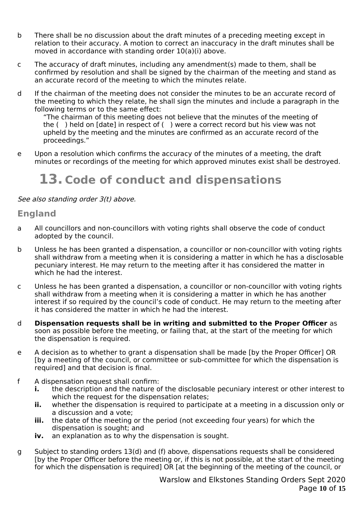- b There shall be no discussion about the draft minutes of a preceding meeting except in relation to their accuracy. A motion to correct an inaccuracy in the draft minutes shall be moved in accordance with standing order 10(a)(i) above.
- c The accuracy of draft minutes, including any amendment(s) made to them, shall be confirmed by resolution and shall be signed by the chairman of the meeting and stand as an accurate record of the meeting to which the minutes relate.
- d If the chairman of the meeting does not consider the minutes to be an accurate record of the meeting to which they relate, he shall sign the minutes and include a paragraph in the following terms or to the same effect:

"The chairman of this meeting does not believe that the minutes of the meeting of the ( ) held on [date] in respect of ( ) were a correct record but his view was not upheld by the meeting and the minutes are confirmed as an accurate record of the proceedings."

e Upon a resolution which confirms the accuracy of the minutes of a meeting, the draft minutes or recordings of the meeting for which approved minutes exist shall be destroyed.

## **13. Code of conduct and dispensations**

#### See also standing order 3(t) above.

#### **England**

- a All councillors and non-councillors with voting rights shall observe the code of conduct adopted by the council.
- b Unless he has been granted a dispensation, a councillor or non-councillor with voting rights shall withdraw from a meeting when it is considering a matter in which he has a disclosable pecuniary interest. He may return to the meeting after it has considered the matter in which he had the interest.
- c Unless he has been granted a dispensation, a councillor or non-councillor with voting rights shall withdraw from a meeting when it is considering a matter in which he has another interest if so required by the council's code of conduct. He may return to the meeting after it has considered the matter in which he had the interest.
- d **Dispensation requests shall be in writing and submitted to the Proper Officer** as soon as possible before the meeting, or failing that, at the start of the meeting for which the dispensation is required.
- e A decision as to whether to grant a dispensation shall be made [by the Proper Officer] OR [by a meeting of the council, or committee or sub-committee for which the dispensation is required] and that decision is final.
- f A dispensation request shall confirm:
	- **i.** the description and the nature of the disclosable pecuniary interest or other interest to which the request for the dispensation relates;
	- **ii.** whether the dispensation is required to participate at a meeting in a discussion only or a discussion and a vote;
	- **iii.** the date of the meeting or the period (not exceeding four years) for which the dispensation is sought; and
	- **iv.** an explanation as to why the dispensation is sought.
- g Subject to standing orders 13(d) and (f) above, dispensations requests shall be considered [by the Proper Officer before the meeting or, if this is not possible, at the start of the meeting for which the dispensation is required] OR [at the beginning of the meeting of the council, or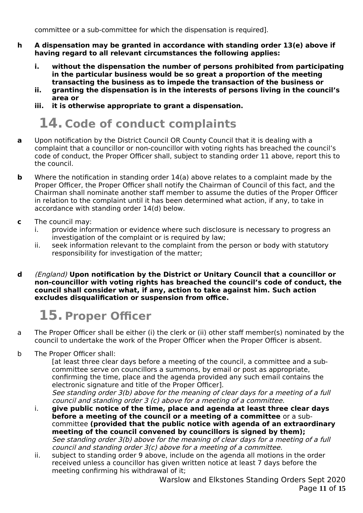committee or a sub-committee for which the dispensation is required].

- **h A dispensation may be granted in accordance with standing order 13(e) above if having regard to all relevant circumstances the following applies:**
	- **i. without the dispensation the number of persons prohibited from participating in the particular business would be so great a proportion of the meeting transacting the business as to impede the transaction of the business or**
	- **ii. granting the dispensation is in the interests of persons living in the council's area or**
	- **iii. it is otherwise appropriate to grant a dispensation.**

## **14. Code of conduct complaints**

- **a** Upon notification by the District Council OR County Council that it is dealing with a complaint that a councillor or non-councillor with voting rights has breached the council's code of conduct, the Proper Officer shall, subject to standing order 11 above, report this to the council.
- **b** Where the notification in standing order 14(a) above relates to a complaint made by the Proper Officer, the Proper Officer shall notify the Chairman of Council of this fact, and the Chairman shall nominate another staff member to assume the duties of the Proper Officer in relation to the complaint until it has been determined what action, if any, to take in accordance with standing order 14(d) below.
- **c** The council may:<br>**i.** provide infor
	- provide information or evidence where such disclosure is necessary to progress an investigation of the complaint or is required by law;
	- ii. seek information relevant to the complaint from the person or body with statutory responsibility for investigation of the matter;
- **d** (England) **Upon notification by the District or Unitary Council that a councillor or non-councillor with voting rights has breached the council's code of conduct, the council shall consider what, if any, action to take against him. Such action excludes disqualification or suspension from office.**

# **15. Proper Officer**

- a The Proper Officer shall be either (i) the clerk or (ii) other staff member(s) nominated by the council to undertake the work of the Proper Officer when the Proper Officer is absent.
- b The Proper Officer shall:

[at least three clear days before a meeting of the council, a committee and a subcommittee serve on councillors a summons, by email or post as appropriate, confirming the time, place and the agenda provided any such email contains the electronic signature and title of the Proper Officer]. See standing order 3(b) above for the meaning of clear days for a meeting of a full council and standing order 3 (c) above for a meeting of a committee.

i. **give public notice of the time, place and agenda at least three clear days before a meeting of the council or a meeting of a committee** or a subcommittee **(provided that the public notice with agenda of an extraordinary meeting of the council convened by councillors is signed by them);** See standing order 3(b) above for the meaning of clear days for a meeting of a full council and standing order 3(c) above for a meeting of a committee.

ii. subject to standing order 9 above, include on the agenda all motions in the order received unless a councillor has given written notice at least 7 days before the meeting confirming his withdrawal of it;

Warslow and Elkstones Standing Orders Sept 2020 Page **11** of **15**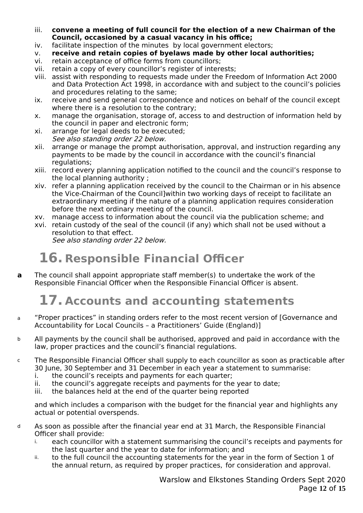- iii. **convene a meeting of full council for the election of a new Chairman of the Council, occasioned by a casual vacancy in his office;**
- iv. facilitate inspection of the minutes by local government electors;
- v. **receive and retain copies of byelaws made by other local authorities;**
- vi. retain acceptance of office forms from councillors;
- vii. retain a copy of every councillor's register of interests;
- viii. assist with responding to requests made under the Freedom of Information Act 2000 and Data Protection Act 1998, in accordance with and subject to the council's policies and procedures relating to the same;
- ix. receive and send general correspondence and notices on behalf of the council except where there is a resolution to the contrary;
- x. manage the organisation, storage of, access to and destruction of information held by the council in paper and electronic form;
- xi. arrange for legal deeds to be executed; See also standing order 22 below.
- xii. arrange or manage the prompt authorisation, approval, and instruction regarding any payments to be made by the council in accordance with the council's financial regulations;
- xiii. record every planning application notified to the council and the council's response to the local planning authority ;
- xiv. refer a planning application received by the council to the Chairman or in his absence the Vice-Chairman of the Council]within two working days of receipt to facilitate an extraordinary meeting if the nature of a planning application requires consideration before the next ordinary meeting of the council.
- xv. manage access to information about the council via the publication scheme; and
- xvi. retain custody of the seal of the council (if any) which shall not be used without a resolution to that effect. See also standing order 22 below.

# **16. Responsible Financial Officer**

**a** The council shall appoint appropriate staff member(s) to undertake the work of the Responsible Financial Officer when the Responsible Financial Officer is absent.

# **17. Accounts and accounting statements**

- a "Proper practices" in standing orders refer to the most recent version of [Governance and Accountability for Local Councils – a Practitioners' Guide (England)]
- b All payments by the council shall be authorised, approved and paid in accordance with the law, proper practices and the council's financial regulations.
- c The Responsible Financial Officer shall supply to each councillor as soon as practicable after 30 June, 30 September and 31 December in each year a statement to summarise:
	- i. the council's receipts and payments for each quarter;
	- ii. the council's aggregate receipts and payments for the year to date;
	- iii. the balances held at the end of the quarter being reported

and which includes a comparison with the budget for the financial year and highlights any actual or potential overspends.

- d As soon as possible after the financial year end at 31 March, the Responsible Financial Officer shall provide:
	- i. each councillor with a statement summarising the council's receipts and payments for the last quarter and the year to date for information; and
	- ii. to the full council the accounting statements for the year in the form of Section 1 of the annual return, as required by proper practices, for consideration and approval.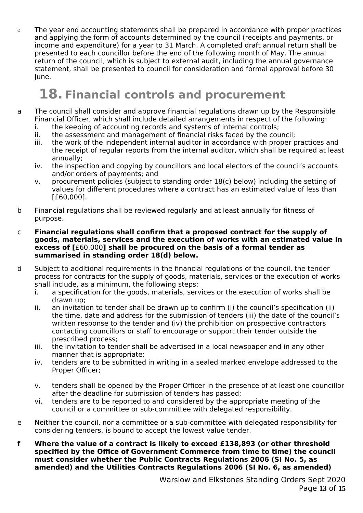e The year end accounting statements shall be prepared in accordance with proper practices and applying the form of accounts determined by the council (receipts and payments, or income and expenditure) for a year to 31 March. A completed draft annual return shall be presented to each councillor before the end of the following month of May. The annual return of the council, which is subject to external audit, including the annual governance statement, shall be presented to council for consideration and formal approval before 30 June.

## **18. Financial controls and procurement**

- a The council shall consider and approve financial regulations drawn up by the Responsible Financial Officer, which shall include detailed arrangements in respect of the following:
	- i. the keeping of accounting records and systems of internal controls;
	- ii. the assessment and management of financial risks faced by the council;
	- iii. the work of the independent internal auditor in accordance with proper practices and the receipt of regular reports from the internal auditor, which shall be required at least annually;
	- iv. the inspection and copying by councillors and local electors of the council's accounts and/or orders of payments; and
	- v. procurement policies (subject to standing order 18(c) below) including the setting of values for different procedures where a contract has an estimated value of less than [£60,000].
- b Financial regulations shall be reviewed regularly and at least annually for fitness of purpose.

#### c **Financial regulations shall confirm that a proposed contract for the supply of goods, materials, services and the execution of works with an estimated value in excess of [**£60,000**] shall be procured on the basis of a formal tender as summarised in standing order 18(d) below.**

- d Subject to additional requirements in the financial regulations of the council, the tender process for contracts for the supply of goods, materials, services or the execution of works shall include, as a minimum, the following steps:
	- i. a specification for the goods, materials, services or the execution of works shall be drawn up;
	- ii. an invitation to tender shall be drawn up to confirm (i) the council's specification (ii) the time, date and address for the submission of tenders (iii) the date of the council's written response to the tender and (iv) the prohibition on prospective contractors contacting councillors or staff to encourage or support their tender outside the prescribed process;
	- iii. the invitation to tender shall be advertised in a local newspaper and in any other manner that is appropriate;
	- iv. tenders are to be submitted in writing in a sealed marked envelope addressed to the Proper Officer;
	- v. tenders shall be opened by the Proper Officer in the presence of at least one councillor after the deadline for submission of tenders has passed;
	- vi. tenders are to be reported to and considered by the appropriate meeting of the council or a committee or sub-committee with delegated responsibility.
- e Neither the council, nor a committee or a sub-committee with delegated responsibility for considering tenders, is bound to accept the lowest value tender.
- **f Where the value of a contract is likely to exceed £138,893 (or other threshold specified by the Office of Government Commerce from time to time) the council must consider whether the Public Contracts Regulations 2006 (SI No. 5, as amended) and the Utilities Contracts Regulations 2006 (SI No. 6, as amended)**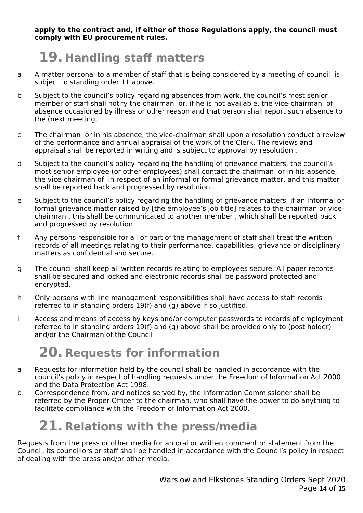**apply to the contract and, if either of those Regulations apply, the council must comply with EU procurement rules.**

# **19. Handling staff matters**

- a A matter personal to a member of staff that is being considered by a meeting of council is subject to standing order 11 above.
- b Subject to the council's policy regarding absences from work, the council's most senior member of staff shall notify the chairman or, if he is not available, the vice-chairman of absence occasioned by illness or other reason and that person shall report such absence to the (next meeting.
- c The chairman or in his absence, the vice-chairman shall upon a resolution conduct a review of the performance and annual appraisal of the work of the Clerk. The reviews and appraisal shall be reported in writing and is subject to approval by resolution .
- d Subject to the council's policy regarding the handling of grievance matters, the council's most senior employee (or other employees) shall contact the chairman or in his absence, the vice-chairman of in respect of an informal or formal grievance matter, and this matter shall be reported back and progressed by resolution .
- e Subject to the council's policy regarding the handling of grievance matters, if an informal or formal grievance matter raised by [the employee's job title] relates to the chairman or vicechairman , this shall be communicated to another member , which shall be reported back and progressed by resolution
- f Any persons responsible for all or part of the management of staff shall treat the written records of all meetings relating to their performance, capabilities, grievance or disciplinary matters as confidential and secure.
- g The council shall keep all written records relating to employees secure. All paper records shall be secured and locked and electronic records shall be password protected and encrypted.
- h Only persons with line management responsibilities shall have access to staff records referred to in standing orders 19(f) and (g) above if so justified.
- i Access and means of access by keys and/or computer passwords to records of employment referred to in standing orders 19(f) and (g) above shall be provided only to (post holder) and/or the Chairman of the Council

# **20. Requests for information**

- a Requests for information held by the council shall be handled in accordance with the council's policy in respect of handling requests under the Freedom of Information Act 2000 and the Data Protection Act 1998.
- b Correspondence from, and notices served by, the Information Commissioner shall be referred by the Proper Officer to the chairman. who shall have the power to do anything to facilitate compliance with the Freedom of Information Act 2000.

## **21. Relations with the press/media**

Requests from the press or other media for an oral or written comment or statement from the Council, its councillors or staff shall be handled in accordance with the Council's policy in respect of dealing with the press and/or other media.